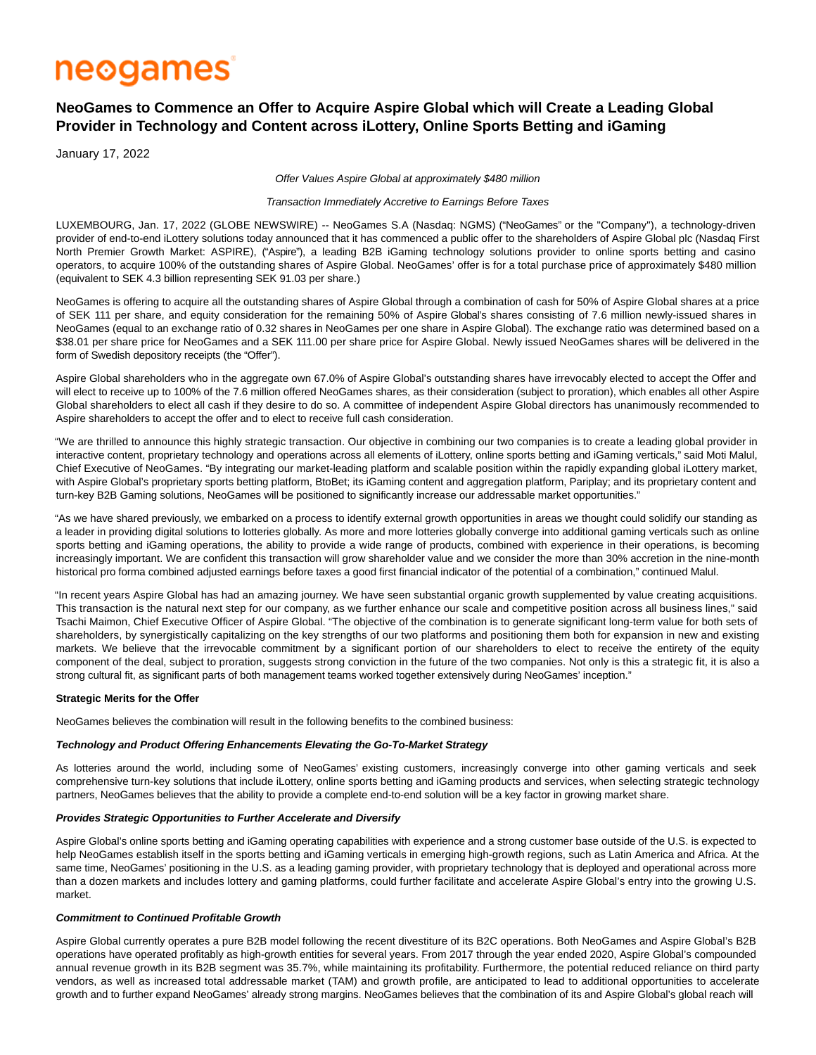# neogames

# **NeoGames to Commence an Offer to Acquire Aspire Global which will Create a Leading Global Provider in Technology and Content across iLottery, Online Sports Betting and iGaming**

January 17, 2022

Offer Values Aspire Global at approximately \$480 million

## Transaction Immediately Accretive to Earnings Before Taxes

LUXEMBOURG, Jan. 17, 2022 (GLOBE NEWSWIRE) -- NeoGames S.A (Nasdaq: NGMS) ("NeoGames" or the "Company"), a technology-driven provider of end-to-end iLottery solutions today announced that it has commenced a public offer to the shareholders of Aspire Global plc (Nasdaq First North Premier Growth Market: ASPIRE), ("Aspire"), a leading B2B iGaming technology solutions provider to online sports betting and casino operators, to acquire 100% of the outstanding shares of Aspire Global. NeoGames' offer is for a total purchase price of approximately \$480 million (equivalent to SEK 4.3 billion representing SEK 91.03 per share.)

NeoGames is offering to acquire all the outstanding shares of Aspire Global through a combination of cash for 50% of Aspire Global shares at a price of SEK 111 per share, and equity consideration for the remaining 50% of Aspire Global's shares consisting of 7.6 million newly-issued shares in NeoGames (equal to an exchange ratio of 0.32 shares in NeoGames per one share in Aspire Global). The exchange ratio was determined based on a \$38.01 per share price for NeoGames and a SEK 111.00 per share price for Aspire Global. Newly issued NeoGames shares will be delivered in the form of Swedish depository receipts (the "Offer").

Aspire Global shareholders who in the aggregate own 67.0% of Aspire Global's outstanding shares have irrevocably elected to accept the Offer and will elect to receive up to 100% of the 7.6 million offered NeoGames shares, as their consideration (subject to proration), which enables all other Aspire Global shareholders to elect all cash if they desire to do so. A committee of independent Aspire Global directors has unanimously recommended to Aspire shareholders to accept the offer and to elect to receive full cash consideration.

"We are thrilled to announce this highly strategic transaction. Our objective in combining our two companies is to create a leading global provider in interactive content, proprietary technology and operations across all elements of iLottery, online sports betting and iGaming verticals," said Moti Malul, Chief Executive of NeoGames. "By integrating our market-leading platform and scalable position within the rapidly expanding global iLottery market, with Aspire Global's proprietary sports betting platform, BtoBet; its iGaming content and aggregation platform, Pariplay; and its proprietary content and turn-key B2B Gaming solutions, NeoGames will be positioned to significantly increase our addressable market opportunities."

"As we have shared previously, we embarked on a process to identify external growth opportunities in areas we thought could solidify our standing as a leader in providing digital solutions to lotteries globally. As more and more lotteries globally converge into additional gaming verticals such as online sports betting and iGaming operations, the ability to provide a wide range of products, combined with experience in their operations, is becoming increasingly important. We are confident this transaction will grow shareholder value and we consider the more than 30% accretion in the nine-month historical pro forma combined adjusted earnings before taxes a good first financial indicator of the potential of a combination," continued Malul.

"In recent years Aspire Global has had an amazing journey. We have seen substantial organic growth supplemented by value creating acquisitions. This transaction is the natural next step for our company, as we further enhance our scale and competitive position across all business lines," said Tsachi Maimon, Chief Executive Officer of Aspire Global. "The objective of the combination is to generate significant long-term value for both sets of shareholders, by synergistically capitalizing on the key strengths of our two platforms and positioning them both for expansion in new and existing markets. We believe that the irrevocable commitment by a significant portion of our shareholders to elect to receive the entirety of the equity component of the deal, subject to proration, suggests strong conviction in the future of the two companies. Not only is this a strategic fit, it is also a strong cultural fit, as significant parts of both management teams worked together extensively during NeoGames' inception."

# **Strategic Merits for the Offer**

NeoGames believes the combination will result in the following benefits to the combined business:

# **Technology and Product Offering Enhancements Elevating the Go-To-Market Strategy**

As lotteries around the world, including some of NeoGames' existing customers, increasingly converge into other gaming verticals and seek comprehensive turn-key solutions that include iLottery, online sports betting and iGaming products and services, when selecting strategic technology partners, NeoGames believes that the ability to provide a complete end-to-end solution will be a key factor in growing market share.

# **Provides Strategic Opportunities to Further Accelerate and Diversify**

Aspire Global's online sports betting and iGaming operating capabilities with experience and a strong customer base outside of the U.S. is expected to help NeoGames establish itself in the sports betting and iGaming verticals in emerging high-growth regions, such as Latin America and Africa. At the same time, NeoGames' positioning in the U.S. as a leading gaming provider, with proprietary technology that is deployed and operational across more than a dozen markets and includes lottery and gaming platforms, could further facilitate and accelerate Aspire Global's entry into the growing U.S. market.

# **Commitment to Continued Profitable Growth**

Aspire Global currently operates a pure B2B model following the recent divestiture of its B2C operations. Both NeoGames and Aspire Global's B2B operations have operated profitably as high-growth entities for several years. From 2017 through the year ended 2020, Aspire Global's compounded annual revenue growth in its B2B segment was 35.7%, while maintaining its profitability. Furthermore, the potential reduced reliance on third party vendors, as well as increased total addressable market (TAM) and growth profile, are anticipated to lead to additional opportunities to accelerate growth and to further expand NeoGames' already strong margins. NeoGames believes that the combination of its and Aspire Global's global reach will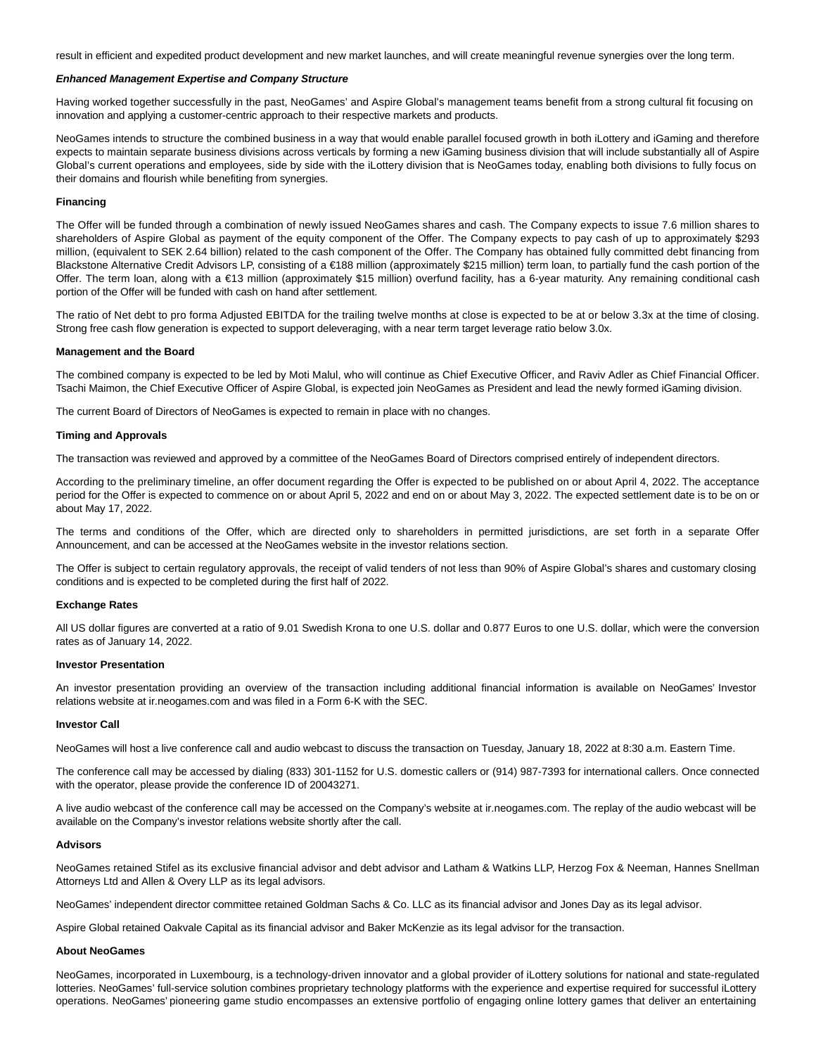result in efficient and expedited product development and new market launches, and will create meaningful revenue synergies over the long term.

#### **Enhanced Management Expertise and Company Structure**

Having worked together successfully in the past, NeoGames' and Aspire Global's management teams benefit from a strong cultural fit focusing on innovation and applying a customer-centric approach to their respective markets and products.

NeoGames intends to structure the combined business in a way that would enable parallel focused growth in both iLottery and iGaming and therefore expects to maintain separate business divisions across verticals by forming a new iGaming business division that will include substantially all of Aspire Global's current operations and employees, side by side with the iLottery division that is NeoGames today, enabling both divisions to fully focus on their domains and flourish while benefiting from synergies.

#### **Financing**

The Offer will be funded through a combination of newly issued NeoGames shares and cash. The Company expects to issue 7.6 million shares to shareholders of Aspire Global as payment of the equity component of the Offer. The Company expects to pay cash of up to approximately \$293 million, (equivalent to SEK 2.64 billion) related to the cash component of the Offer. The Company has obtained fully committed debt financing from Blackstone Alternative Credit Advisors LP, consisting of a €188 million (approximately \$215 million) term loan, to partially fund the cash portion of the Offer. The term loan, along with a €13 million (approximately \$15 million) overfund facility, has a 6-year maturity. Any remaining conditional cash portion of the Offer will be funded with cash on hand after settlement.

The ratio of Net debt to pro forma Adjusted EBITDA for the trailing twelve months at close is expected to be at or below 3.3x at the time of closing. Strong free cash flow generation is expected to support deleveraging, with a near term target leverage ratio below 3.0x.

## **Management and the Board**

The combined company is expected to be led by Moti Malul, who will continue as Chief Executive Officer, and Raviv Adler as Chief Financial Officer. Tsachi Maimon, the Chief Executive Officer of Aspire Global, is expected join NeoGames as President and lead the newly formed iGaming division.

The current Board of Directors of NeoGames is expected to remain in place with no changes.

#### **Timing and Approvals**

The transaction was reviewed and approved by a committee of the NeoGames Board of Directors comprised entirely of independent directors.

According to the preliminary timeline, an offer document regarding the Offer is expected to be published on or about April 4, 2022. The acceptance period for the Offer is expected to commence on or about April 5, 2022 and end on or about May 3, 2022. The expected settlement date is to be on or about May 17, 2022.

The terms and conditions of the Offer, which are directed only to shareholders in permitted jurisdictions, are set forth in a separate Offer Announcement, and can be accessed at the NeoGames website in the investor relations section.

The Offer is subject to certain regulatory approvals, the receipt of valid tenders of not less than 90% of Aspire Global's shares and customary closing conditions and is expected to be completed during the first half of 2022.

#### **Exchange Rates**

All US dollar figures are converted at a ratio of 9.01 Swedish Krona to one U.S. dollar and 0.877 Euros to one U.S. dollar, which were the conversion rates as of January 14, 2022.

#### **Investor Presentation**

An investor presentation providing an overview of the transaction including additional financial information is available on NeoGames' Investor relations website at ir.neogames.com and was filed in a Form 6-K with the SEC.

#### **Investor Call**

NeoGames will host a live conference call and audio webcast to discuss the transaction on Tuesday, January 18, 2022 at 8:30 a.m. Eastern Time.

The conference call may be accessed by dialing (833) 301-1152 for U.S. domestic callers or (914) 987-7393 for international callers. Once connected with the operator, please provide the conference ID of 20043271.

A live audio webcast of the conference call may be accessed on the Company's website at ir.neogames.com. The replay of the audio webcast will be available on the Company's investor relations website shortly after the call.

#### **Advisors**

NeoGames retained Stifel as its exclusive financial advisor and debt advisor and Latham & Watkins LLP, Herzog Fox & Neeman, Hannes Snellman Attorneys Ltd and Allen & Overy LLP as its legal advisors.

NeoGames' independent director committee retained Goldman Sachs & Co. LLC as its financial advisor and Jones Day as its legal advisor.

Aspire Global retained Oakvale Capital as its financial advisor and Baker McKenzie as its legal advisor for the transaction.

#### **About NeoGames**

NeoGames, incorporated in Luxembourg, is a technology-driven innovator and a global provider of iLottery solutions for national and state-regulated lotteries. NeoGames' full-service solution combines proprietary technology platforms with the experience and expertise required for successful iLottery operations. NeoGames' pioneering game studio encompasses an extensive portfolio of engaging online lottery games that deliver an entertaining